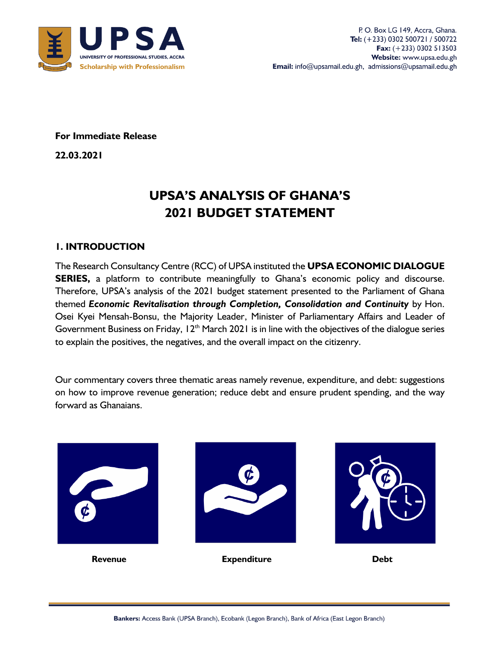

**For Immediate Release** 

**22.03.2021**

# **UPSA'S ANALYSIS OF GHANA'S 2021 BUDGET STATEMENT**

## **1. INTRODUCTION**

The Research Consultancy Centre (RCC) of UPSA instituted the **UPSA ECONOMIC DIALOGUE SERIES,** a platform to contribute meaningfully to Ghana's economic policy and discourse. Therefore, UPSA's analysis of the 2021 budget statement presented to the Parliament of Ghana themed *Economic Revitalisation through Completion, Consolidation and Continuity* by Hon. Osei Kyei Mensah-Bonsu, the Majority Leader, Minister of Parliamentary Affairs and Leader of Government Business on Friday,  $12<sup>th</sup>$  March 2021 is in line with the objectives of the dialogue series to explain the positives, the negatives, and the overall impact on the citizenry.

Our commentary covers three thematic areas namely revenue, expenditure, and debt: suggestions on how to improve revenue generation; reduce debt and ensure prudent spending, and the way forward as Ghanaians.

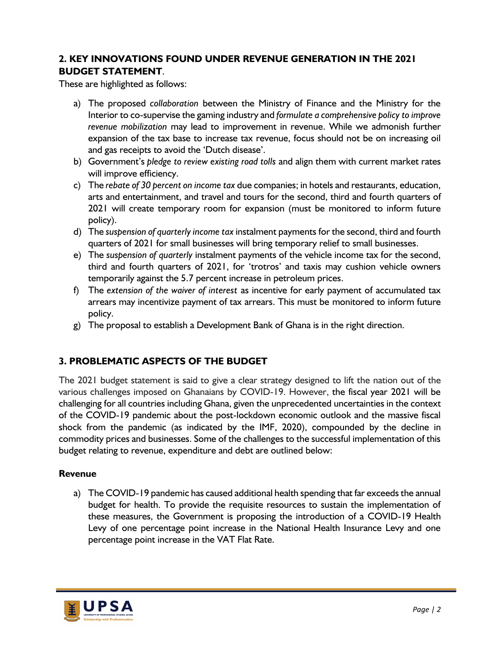## **2. KEY INNOVATIONS FOUND UNDER REVENUE GENERATION IN THE 2021 BUDGET STATEMENT**.

These are highlighted as follows:

- a) The proposed *collaboration* between the Ministry of Finance and the Ministry for the Interior to co-supervise the gaming industry and *formulate a comprehensive policy to improve revenue mobilization* may lead to improvement in revenue. While we admonish further expansion of the tax base to increase tax revenue, focus should not be on increasing oil and gas receipts to avoid the 'Dutch disease'.
- b) Government's *pledge to review existing road tolls* and align them with current market rates will improve efficiency.
- c) The *rebate of 30 percent on income tax* due companies; in hotels and restaurants, education, arts and entertainment, and travel and tours for the second, third and fourth quarters of 2021 will create temporary room for expansion (must be monitored to inform future policy).
- d) The *suspension of quarterly income tax* instalment payments for the second, third and fourth quarters of 2021 for small businesses will bring temporary relief to small businesses.
- e) The *suspension of quarterly* instalment payments of the vehicle income tax for the second, third and fourth quarters of 2021, for 'trotros' and taxis may cushion vehicle owners temporarily against the 5.7 percent increase in petroleum prices.
- f) The *extension of the waiver of interest* as incentive for early payment of accumulated tax arrears may incentivize payment of tax arrears. This must be monitored to inform future policy.
- g) The proposal to establish a Development Bank of Ghana is in the right direction.

## **3. PROBLEMATIC ASPECTS OF THE BUDGET**

The 2021 budget statement is said to give a clear strategy designed to lift the nation out of the various challenges imposed on Ghanaians by COVID-19. However, the fiscal year 2021 will be challenging for all countries including Ghana, given the unprecedented uncertainties in the context of the COVID-19 pandemic about the post-lockdown economic outlook and the massive fiscal shock from the pandemic (as indicated by the IMF, 2020), compounded by the decline in commodity prices and businesses. Some of the challenges to the successful implementation of this budget relating to revenue, expenditure and debt are outlined below:

### **Revenue**

a) The COVID-19 pandemic has caused additional health spending that far exceeds the annual budget for health. To provide the requisite resources to sustain the implementation of these measures, the Government is proposing the introduction of a COVID-19 Health Levy of one percentage point increase in the National Health Insurance Levy and one percentage point increase in the VAT Flat Rate.

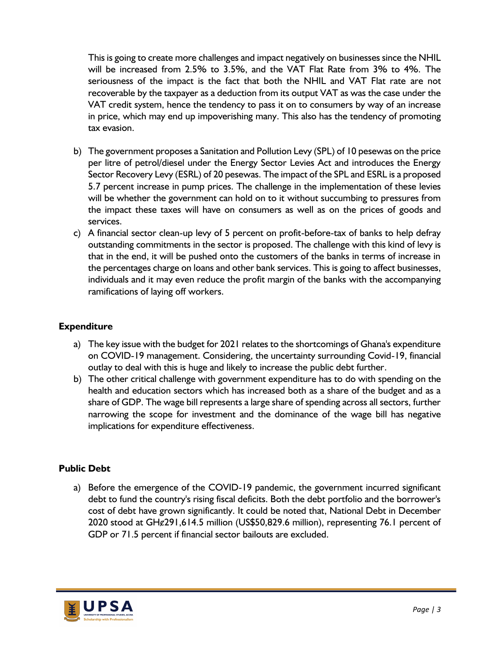This is going to create more challenges and impact negatively on businesses since the NHIL will be increased from 2.5% to 3.5%, and the VAT Flat Rate from 3% to 4%. The seriousness of the impact is the fact that both the NHIL and VAT Flat rate are not recoverable by the taxpayer as a deduction from its output VAT as was the case under the VAT credit system, hence the tendency to pass it on to consumers by way of an increase in price, which may end up impoverishing many. This also has the tendency of promoting tax evasion.

- b) The government proposes a Sanitation and Pollution Levy (SPL) of 10 pesewas on the price per litre of petrol/diesel under the Energy Sector Levies Act and introduces the Energy Sector Recovery Levy (ESRL) of 20 pesewas. The impact of the SPL and ESRL is a proposed 5.7 percent increase in pump prices. The challenge in the implementation of these levies will be whether the government can hold on to it without succumbing to pressures from the impact these taxes will have on consumers as well as on the prices of goods and services.
- c) A financial sector clean-up levy of 5 percent on profit-before-tax of banks to help defray outstanding commitments in the sector is proposed. The challenge with this kind of levy is that in the end, it will be pushed onto the customers of the banks in terms of increase in the percentages charge on loans and other bank services. This is going to affect businesses, individuals and it may even reduce the profit margin of the banks with the accompanying ramifications of laying off workers.

## **Expenditure**

- a) The key issue with the budget for 2021 relates to the shortcomings of Ghana's expenditure on COVID-19 management. Considering, the uncertainty surrounding Covid-19, financial outlay to deal with this is huge and likely to increase the public debt further.
- b) The other critical challenge with government expenditure has to do with spending on the health and education sectors which has increased both as a share of the budget and as a share of GDP. The wage bill represents a large share of spending across all sectors, further narrowing the scope for investment and the dominance of the wage bill has negative implications for expenditure effectiveness.

### **Public Debt**

a) Before the emergence of the COVID-19 pandemic, the government incurred significant debt to fund the country's rising fiscal deficits. Both the debt portfolio and the borrower's cost of debt have grown significantly. It could be noted that, National Debt in December 2020 stood at GHȼ291,614.5 million (US\$50,829.6 million), representing 76.1 percent of GDP or 71.5 percent if financial sector bailouts are excluded.

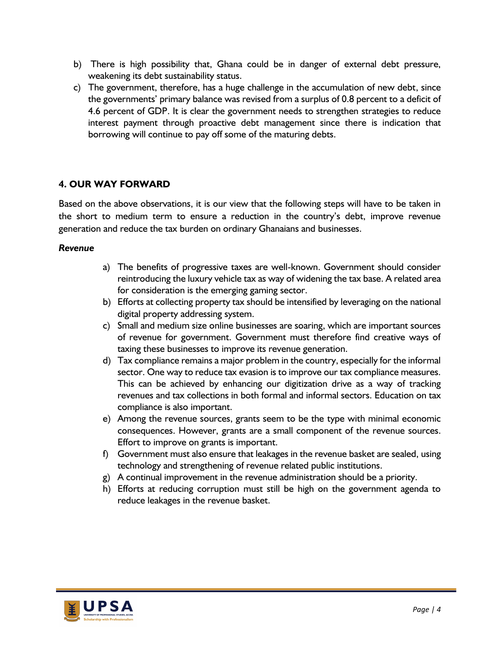- b) There is high possibility that, Ghana could be in danger of external debt pressure, weakening its debt sustainability status.
- c) The government, therefore, has a huge challenge in the accumulation of new debt, since the governments' primary balance was revised from a surplus of 0.8 percent to a deficit of 4.6 percent of GDP. It is clear the government needs to strengthen strategies to reduce interest payment through proactive debt management since there is indication that borrowing will continue to pay off some of the maturing debts.

## **4. OUR WAY FORWARD**

Based on the above observations, it is our view that the following steps will have to be taken in the short to medium term to ensure a reduction in the country's debt, improve revenue generation and reduce the tax burden on ordinary Ghanaians and businesses.

#### *Revenue*

- a) The benefits of progressive taxes are well-known. Government should consider reintroducing the luxury vehicle tax as way of widening the tax base. A related area for consideration is the emerging gaming sector.
- b) Efforts at collecting property tax should be intensified by leveraging on the national digital property addressing system.
- c) Small and medium size online businesses are soaring, which are important sources of revenue for government. Government must therefore find creative ways of taxing these businesses to improve its revenue generation.
- d) Tax compliance remains a major problem in the country, especially for the informal sector. One way to reduce tax evasion is to improve our tax compliance measures. This can be achieved by enhancing our digitization drive as a way of tracking revenues and tax collections in both formal and informal sectors. Education on tax compliance is also important.
- e) Among the revenue sources, grants seem to be the type with minimal economic consequences. However, grants are a small component of the revenue sources. Effort to improve on grants is important.
- f) Government must also ensure that leakages in the revenue basket are sealed, using technology and strengthening of revenue related public institutions.
- $g$ ) A continual improvement in the revenue administration should be a priority.
- h) Efforts at reducing corruption must still be high on the government agenda to reduce leakages in the revenue basket.